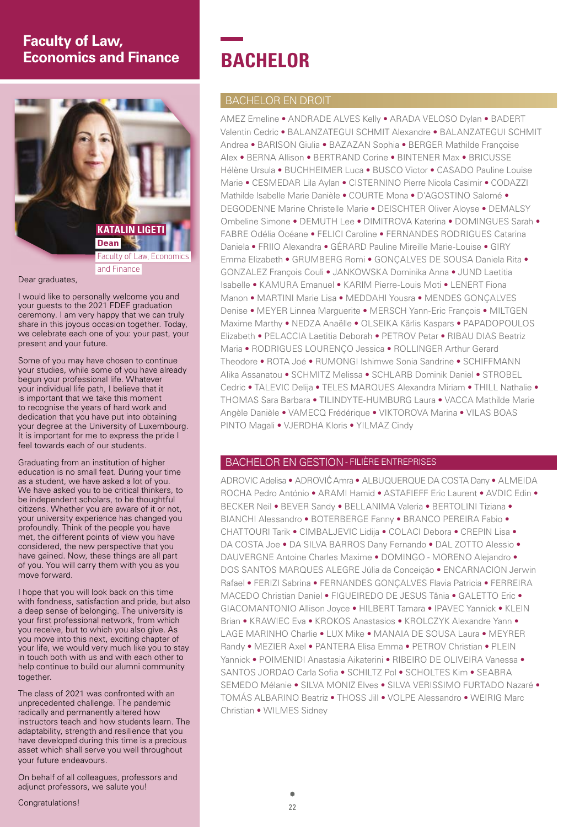# **Faculty of Law, Economics and Finance**



Dear graduates.

I would like to personally welcome you and your guests to the 2021 FDEF graduation ceremony. I am very happy that we can truly share in this joyous occasion together. Today, we celebrate each one of you: your past, your present and your future.

Some of you may have chosen to continue your studies, while some of you have already begun your professional life. Whatever your individual life path, I believe that it is important that we take this moment to recognise the years of hard work and dedication that you have put into obtaining your degree at the University of Luxembourg. It is important for me to express the pride I feel towards each of our students.

Graduating from an institution of higher education is no small feat. During your time as a student, we have asked a lot of you. We have asked you to be critical thinkers, to be independent scholars, to be thoughtful citizens. Whether you are aware of it or not, your university experience has changed you profoundly. Think of the people you have met, the different points of view you have considered, the new perspective that you have gained. Now, these things are all part of you. You will carry them with you as you move forward.

I hope that you will look back on this time with fondness, satisfaction and pride, but also a deep sense of belonging. The university is your first professional network, from which you receive, but to which you also give. As you move into this next, exciting chapter of your life, we would very much like you to stay in touch both with us and with each other to help continue to build our alumni community together.

The class of 2021 was confronted with an unprecedented challenge. The pandemic radically and permanently altered how instructors teach and how students learn. The adaptability, strength and resilience that you have developed during this time is a precious asset which shall serve you well throughout your future endeavours.

On behalf of all colleagues, professors and adjunct professors, we salute you!

# **BACHELOR**

# BACHELOR EN DROIT

AMEZ Emeline • ANDRADE ALVES Kelly • ARADA VELOSO Dylan • BADERT Valentin Cedric • BALANZATEGUI SCHMIT Alexandre • BALANZATEGUI SCHMIT Andrea • BARISON Giulia • BAZAZAN Sophia • BERGER Mathilde Françoise Alex • BERNA Allison • BERTRAND Corine • BINTENER Max • BRICUSSE Hélène Ursula • BUCHHEIMER Luca • BUSCO Victor • CASADO Pauline Louise Marie • CESMEDAR Lila Aylan • CISTERNINO Pierre Nicola Casimir • CODAZZI Mathilde Isabelle Marie Danièle • COURTE Mona • D'AGOSTINO Salomé • DEGODENNE Marine Christelle Marie • DEISCHTER Oliver Aloyse • DEMALSY Ombeline Simone • DEMUTH Lee • DIMITROVA Katerina • DOMINGUES Sarah • FABRE Odélia Océane • FELICI Caroline • FERNANDES RODRIGUES Catarina Daniela • FRIIO Alexandra • GÉRARD Pauline Mireille Marie-Louise • GIRY Emma Elizabeth • GRUMBERG Romi • GONÇALVES DE SOUSA Daniela Rita • GONZALEZ François Couli • JANKOWSKA Dominika Anna • JUND Laetitia Isabelle • KAMURA Emanuel • KARIM Pierre-Louis Moti • LENERT Fiona Manon • MARTINI Marie Lisa • MEDDAHI Yousra • MENDES GONÇALVES Denise • MEYER Linnea Marguerite • MERSCH Yann-Eric François • MILTGEN Maxime Marthy • NEDZA Anaëlle • OLSEIKA Kärlis Kaspars • PAPADOPOULOS Elizabeth • PELACCIA Laetitia Deborah • PETROV Petar • RIBAU DIAS Beatriz Maria • RODRIGUES LOURENÇO Jessica • ROLLINGER Arthur Gerard Theodore • ROTA Joé • RUMONGI Ishimwe Sonia Sandrine • SCHIFFMANN Alika Assanatou • SCHMITZ Melissa • SCHLARB Dominik Daniel • STROBEL Cedric • TALEVIC Delija • TELES MARQUES Alexandra Miriam • THILL Nathalie • THOMAS Sara Barbara • TILINDYTE-HUMBURG Laura • VACCA Mathilde Marie Angèle Danièle • VAMECQ Frédérique • VIKTOROVA Marina • VILAS BOAS PINTO Magali • VJERDHA Kloris • YILMAZ Cindy

# BACHELOR EN GESTION - FILIÈRE ENTREPRISES

ADROVIC Adelisa • ADROVIĆ Amra • ALBUQUERQUE DA COSTA Dany • ALMEIDA ROCHA Pedro António • ARAMI Hamid • ASTAFIEFF Eric Laurent • AVDIC Edin • BECKER Neil • BEVER Sandy • BELLANIMA Valeria • BERTOLINI Tiziana • BIANCHI Alessandro • BOTERBERGE Fanny • BRANCO PEREIRA Fabio • CHATTOURI Tarik • CIMBALJEVIC Lidija • COLACI Debora • CREPIN Lisa • DA COSTA Joe • DA SILVA BARROS Dany Fernando • DAL ZOTTO Alessio • DAUVERGNE Antoine Charles Maxime • DOMINGO - MORENO Alejandro • DOS SANTOS MARQUES ALEGRE Júlia da Conceição • ENCARNACION Jerwin Rafael • FERIZI Sabrina • FERNANDES GONÇALVES Flavia Patricia • FERREIRA MACEDO Christian Daniel • FIGUEIREDO DE JESUS Tânia • GALETTO Eric • GIACOMANTONIO Allison Joyce • HILBERT Tamara • IPAVEC Yannick • KLEIN Brian • KRAWIEC Eva • KROKOS Anastasios • KROLCZYK Alexandre Yann • LAGE MARINHO Charlie • LUX Mike • MANAIA DE SOUSA Laura • MEYRER Randy • MEZIER Axel • PANTERA Elisa Emma • PETROV Christian • PLEIN Yannick • POIMENIDI Anastasia Aikaterini • RIBEIRO DE OLIVEIRA Vanessa • SANTOS JORDAO Carla Sofia • SCHILTZ Pol • SCHOLTES Kim • SEABRA SEMEDO Mélanie • SILVA MONIZ Elves • SILVA VERISSIMO FURTADO Nazaré • TOMÁS ALBARINO Beatriz • THOSS Jill • VOLPE Alessandro • WEIRIG Marc Christian • WILMES Sidney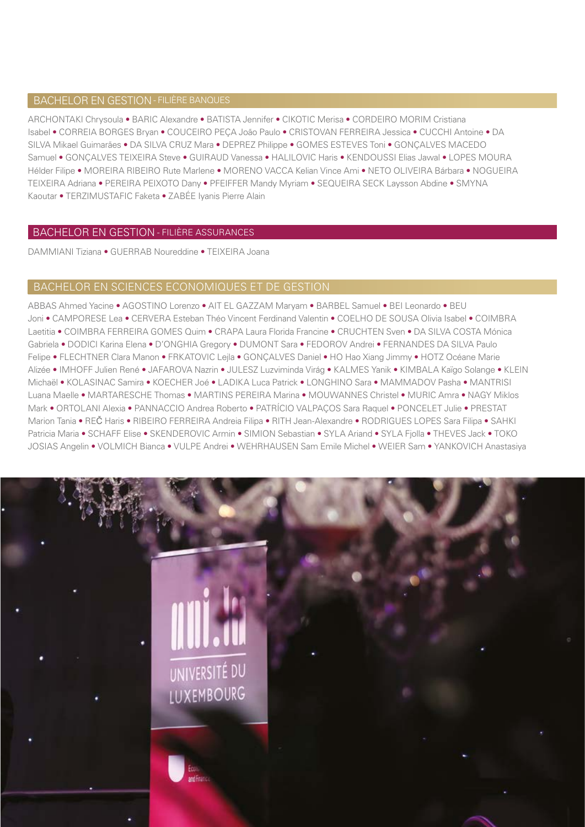# BACHELOR EN GESTION - FILIÈRE BANQUES

ARCHONTAKI Chrysoula • BARIC Alexandre • BATISTA Jennifer • CIKOTIC Merisa • CORDEIRO MORIM Cristiana Isabel • CORREIA BORGES Bryan • COUCEIRO PEÇA João Paulo • CRISTOVAN FERREIRA Jessica • CUCCHI Antoine • DA SILVA Mikael Guimarães • DA SILVA CRUZ Mara • DEPREZ Philippe • GOMES ESTEVES Toni • GONÇALVES MACEDO Samuel • GONÇALVES TEIXEIRA Steve • GUIRAUD Vanessa • HALILOVIC Haris • KENDOUSSI Elias Jawal • LOPES MOURA Hélder Filipe • MOREIRA RIBEIRO Rute Marlene • MORENO VACCA Kelian Vince Ami • NETO OLIVEIRA Bárbara • NOGUEIRA TEIXEIRA Adriana • PEREIRA PEIXOTO Dany • PFEIFFER Mandy Myriam • SEQUEIRA SECK Laysson Abdine • SMYNA Kaoutar • TERZIMUSTAFIC Faketa • ZABÉE Iyanis Pierre Alain

#### BACHELOR EN GESTION - FILIÈRE ASSURANCES

DAMMIANI Tiziana • GUERRAB Noureddine • TEIXEIRA Joana

#### BACHELOR EN SCIENCES ECONOMIQUES ET DE GESTION

ABBAS Ahmed Yacine • AGOSTINO Lorenzo • AIT EL GAZZAM Maryam • BARBEL Samuel • BEI Leonardo • BEU Joni • CAMPORESE Lea • CERVERA Esteban Théo Vincent Ferdinand Valentin • COELHO DE SOUSA Olivia Isabel • COIMBRA Laetitia • COIMBRA FERREIRA GOMES Quim • CRAPA Laura Florida Francine • CRUCHTEN Sven • DA SILVA COSTA Mónica Gabriela • DODICI Karina Elena • D'ONGHIA Gregory • DUMONT Sara • FEDOROV Andrei • FERNANDES DA SILVA Paulo Felipe • FLECHTNER Clara Manon • FRKATOVIC Lejla • GONÇALVES Daniel • HO Hao Xiang Jimmy • HOTZ Océane Marie Alizée • IMHOFF Julien René • JAFAROVA Nazrin • JULESZ Luzviminda Virág • KALMES Yanik • KIMBALA Kaïgo Solange • KLEIN Michaël • KOLASINAC Samira • KOECHER Joé • LADIKA Luca Patrick • LONGHINO Sara • MAMMADOV Pasha • MANTRISI Luana Maelle • MARTARESCHE Thomas • MARTINS PEREIRA Marina • MOUWANNES Christel • MURIC Amra • NAGY Miklos Mark • ORTOLANI Alexia • PANNACCIO Andrea Roberto • PATRÍCIO VALPAÇOS Sara Raquel • PONCELET Julie • PRESTAT Marion Tania • REČ Haris • RIBEIRO FERREIRA Andreia Filipa • RITH Jean-Alexandre • RODRIGUES LOPES Sara Filipa • SAHKI Patricia Maria • SCHAFF Elise • SKENDEROVIC Armin • SIMION Sebastian • SYLA Ariand • SYLA Fjolla • THEVES Jack • TOKO JOSIAS Angelin • VOLMICH Bianca • VULPE Andrei • WEHRHAUSEN Sam Emile Michel • WEIER Sam • YANKOVICH Anastasiya

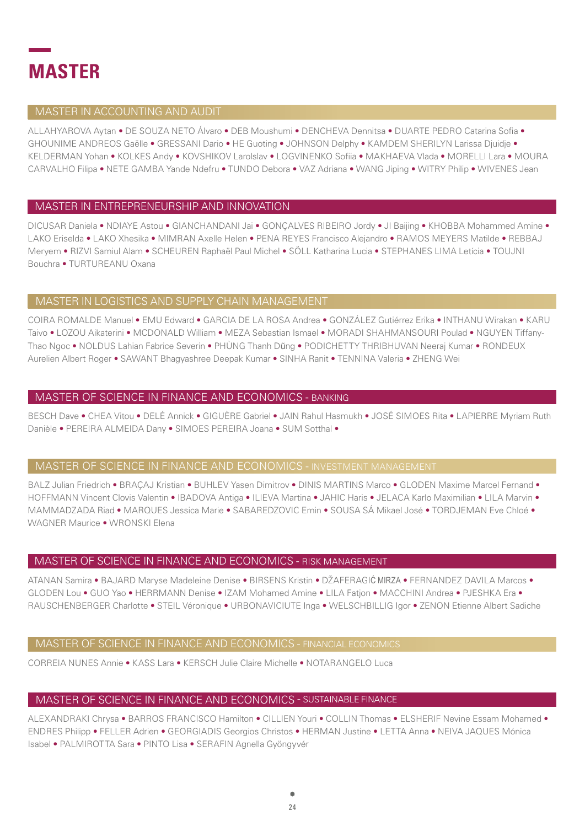

#### MASTER IN ACCOUNTING AND AUDIT

ALLAHYAROVA Aytan . DE SOUZA NETO Álvaro . DEB Moushumi . DENCHEVA Dennitsa . DUARTE PEDRO Catarina Sofia . GHOUNIME ANDREOS Gaëlle • GRESSANI Dario • HE Guoting • JOHNSON Delphy • KAMDEM SHERILYN Larissa Diuidie • KELDERMAN Yohan . KOLKES Andy . KOVSHIKOV Larolslav . LOGVINENKO Sofiia . MAKHAEVA Vlada . MORELLI Lara . MOURA CARVALHO Filipa . NETE GAMBA Yande Ndefru . TUNDO Debora . VAZ Adriana . WANG Jiping . WITRY Philip . WIVENES Jean

#### MASTER IN ENTREPRENEURSHIP AND INNOVATION

DICUSAR Daniela • NDIAYE Astou • GIANCHANDANI Jai • GONÇALVES RIBEIRO Jordy • JI Baijing • KHOBBA Mohammed Amine • LAKO Eriselda • LAKO Xhesika • MIMRAN Axelle Helen • PENA REYES Francisco Alejandro • RAMOS MEYERS Matilde • REBBAJ Meryem . RIZVI Samiul Alam . SCHEUREN Raphaël Paul Michel . SÖLL Katharina Lucia . STEPHANES LIMA Letícia . TOUJNI Bouchra • TURTUREANU Oxana

#### MASTER IN LOGISTICS AND SUPPLY CHAIN MANAGEMENT

COIRA ROMALDE Manuel • EMU Fdward • GARCIA DE LA ROSA Andrea • GONZÁLEZ Gutiérrez Frika • INTHANU Wirakan • KARU Taivo · LOZOU Aikaterini · MCDONALD William · MEZA Sebastian Ismael · MORADI SHAHMANSOURI Poulad · NGUYEN Tiffany-Thao Ngoc • NOLDUS Lahian Fabrice Severin • PHÙNG Thanh Dũng • PODICHETTY THRIBHUVAN Neeraj Kumar • RONDEUX Aurelien Albert Roger • SAWANT Bhagyashree Deepak Kumar • SINHA Ranit • TENNINA Valeria • ZHENG Wei

#### MASTER OF SCIENCE IN FINANCE AND ECONOMICS - BANKING

BESCH Dave . CHEA Vitou . DELÉ Annick . GIGUÈRE Gabriel . JAIN Rahul Hasmukh . JOSÉ SIMOES Rita . LAPIERRE Myriam Ruth Danièle • PEREIRA ALMEIDA Dany • SIMOES PEREIRA Joana • SUM Sotthal •

#### **MASTER OF SCIENCE IN FINANCE AND ECONOMICS - INVESTMENT MANAGEMENT**

BALZ Julian Friedrich • BRACAJ Kristian • BUHLEV Yasen Dimitrov • DINIS MARTINS Marco • GLODEN Maxime Marcel Fernand • HOFFMANN Vincent Clovis Valentin . IBADOVA Antiga . ILIEVA Martina . JAHIC Haris . JELACA Karlo Maximilian . LILA Marvin . MAMMADZADA Riad . MARQUES Jessica Marie . SABAREDZOVIC Emin . SOUSA SÁ Mikael José . TORDJEMAN Eve Chloé . WAGNER Maurice . WRONSKI Elena

#### MASTER OF SCIENCE IN FINANCE AND ECONOMICS - RISK MANAGEMENT

ATANAN Samira • BAJARD Maryse Madeleine Denise • BIRSENS Kristin • DŽAFERAGIĆ MIRZA • FERNANDEZ DAVILA Marcos • GLODEN Lou . GUO Yao . HERRMANN Denise . IZAM Mohamed Amine . LILA Fation . MACCHINI Andrea . PJESHKA Era . RAUSCHENBERGER Charlotte · STEIL Véronique · URBONAVICIUTE Inga · WELSCHBILLIG Igor · ZENON Etienne Albert Sadiche

#### MASTER OF SCIENCE IN FINANCE AND ECONOMICS - FINANCIAL ECONOMICS

CORREIA NUNES Annie • KASS Lara • KERSCH Julie Claire Michelle • NOTARANGELO Luca

#### MASTER OF SCIENCE IN FINANCE AND ECONOMICS - SUSTAINABLE FINANCE

ALEXANDRAKI Chrysa . BARROS FRANCISCO Hamilton . CILLIEN Youri . COLLIN Thomas . ELSHERIF Nevine Essam Mohamed . ENDRES Philipp . FELLER Adrien . GEORGIADIS Georgios Christos . HERMAN Justine . LETTA Anna . NEIVA JAQUES Mónica Isabel · PALMIROTTA Sara · PINTO Lisa · SERAFIN Agnella Gyöngyvér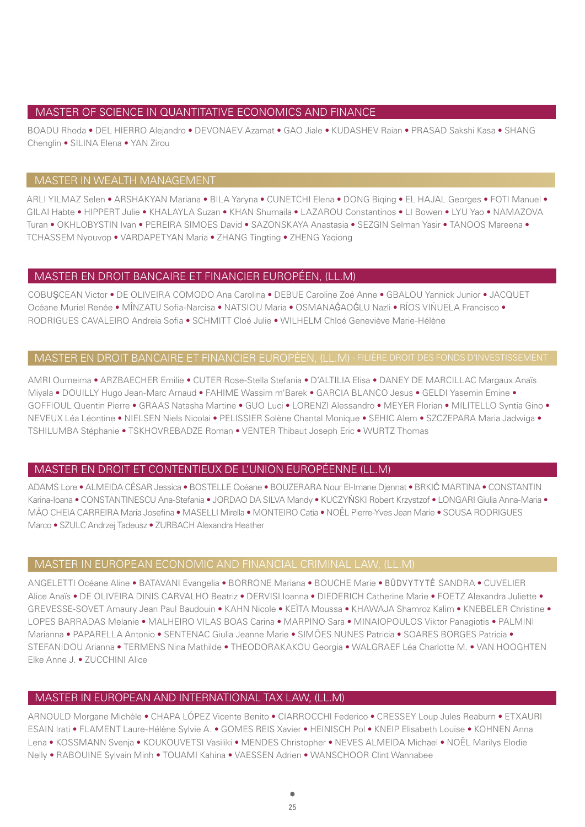#### MASTER OF SCIENCE IN QUANTITATIVE ECONOMICS AND FINANCE

BOADU Rhoda • DEL HIERRO Alejandro • DEVONAEV Azamat • GAO Jiale • KUDASHEV Raian • PRASAD Sakshi Kasa • SHANG Chenglin • SILINA Elena • YAN Zirou

# MASTER IN WEALTH MANAGEMENT

ARLI YILMAZ Selen • ARSHAKYAN Mariana • BILA Yaryna • CUNETCHI Elena • DONG Biqing • EL HAJAL Georges • FOTI Manuel • GILAI Habte • HIPPERT Julie • KHALAYLA Suzan • KHAN Shumaila • LAZAROU Constantinos • LI Bowen • LYU Yao • NAMAZOVA Turan • OKHLOBYSTIN Ivan • PEREIRA SIMOES David • SAZONSKAYA Anastasia • SEZGIN Selman Yasir • TANOOS Mareena • TCHASSEM Nyouvop • VARDAPETYAN Maria • ZHANG Tingting • ZHENG Yaqiong

#### MASTER EN DROIT BANCAIRE ET FINANCIER EUROPÉEN, (LL.M)

COBUŞCEAN Victor • DE OLIVEIRA COMODO Ana Carolina • DEBUE Caroline Zoé Anne • GBALOU Yannick Junior • JACQUET Océane Muriel Renée • MÎNZATU Sofia-Narcisa • NATSIOU Maria • OSMANAĜAOĜLU Nazli • RÍOS VIÑUELA Francisco • RODRIGUES CAVALEIRO Andreia Sofia • SCHMITT Cloé Julie • WILHELM Chloé Geneviève Marie-Hélène

#### MASTER EN DROIT BANCAIRE ET FINANCIER EUROPÉEN, (LL.M) - FILIÈRE DROIT DES FONDS D'INVESTISSEMENT

AMRI Oumeima • ARZBAECHER Emilie • CUTER Rose-Stella Stefania • D'ALTILIA Elisa • DANEY DE MARCILLAC Margaux Anaïs Miyala • DOUILLY Hugo Jean-Marc Arnaud • FAHIME Wassim m'Barek • GARCIA BLANCO Jesus • GELDI Yasemin Emine • GOFFIOUL Quentin Pierre • GRAAS Natasha Martine • GUO Luci • LORENZI Alessandro • MEYER Florian • MILITELLO Syntia Gino • NEVEUX Léa Léontine • NIELSEN Niels Nicolai • PELISSIER Solène Chantal Monique • SEHIC Alem • SZCZEPARA Maria Jadwiga • TSHILUMBA Stéphanie • TSKHOVREBADZE Roman • VENTER Thibaut Joseph Eric • WURTZ Thomas

#### MASTER EN DROIT ET CONTENTIEUX DE L'UNION EUROPÉENNE (LL.M)

ADAMS Lore • ALMEIDA CÉSAR Jessica • BOSTELLE Océane • BOUZERARA Nour El-Imane Djennat • BRKIĆ MARTINA • CONSTANTIN Karina-Ioana • CONSTANTINESCU Ana-Stefania • JORDAO DA SILVA Mandy • KUCZYŃSKI Robert Krzystzof • LONGARI Giulia Anna-Maria • MÃO CHEIA CARREIRA Maria Josefina • MASELLI Mirella • MONTEIRO Catia • NOËL Pierre-Yves Jean Marie • SOUSA RODRIGUES Marco • SZULC Andrzej Tadeusz • ZURBACH Alexandra Heather

#### MASTER IN EUROPEAN ECONOMIC AND FINANCIAL CRIMINAL LAW, (LL.M)

ANGELETTI Océane Aline • BATAVANI Evangelia • BORRONE Mariana • BOUCHE Marie • BŪDVYTYTĖ SANDRA • CUVELIER Alice Anaïs • DE OLIVEIRA DINIS CARVALHO Beatriz • DERVISI Ioanna • DIEDERICH Catherine Marie • FOETZ Alexandra Juliette • GREVESSE-SOVET Amaury Jean Paul Baudouin • KAHN Nicole • KEÏTA Moussa • KHAWAJA Shamroz Kalim • KNEBELER Christine • LOPES BARRADAS Melanie · MALHEIRO VILAS BOAS Carina · MARPINO Sara · MINAIOPOULOS Viktor Panagiotis · PALMINI Marianna • PAPARELLA Antonio • SENTENAC Giulia Jeanne Marie • SIMÕES NUNES Patricia • SOARES BORGES Patricia • STEFANIDOU Arianna • TERMENS Nina Mathilde • THEODORAKAKOU Georgia • WALGRAEF Léa Charlotte M. • VAN HOOGHTEN Elke Anne J. • ZUCCHINI Alice

#### MASTER IN EUROPEAN AND INTERNATIONAL TAX LAW, (LL.M)

ARNOULD Morgane Michèle • CHAPA LÓPEZ Vicente Benito • CIARROCCHI Federico • CRESSEY Loup Jules Reaburn • ETXAURI ESAIN Irati • FLAMENT Laure-Hélène Sylvie A. • GOMES REIS Xavier • HEINISCH Pol • KNEIP Elisabeth Louise • KOHNEN Anna Lena • KOSSMANN Svenja • KOUKOUVETSI Vasiliki • MENDES Christopher • NEVES ALMEIDA Michael • NOËL Marilys Elodie Nelly • RABOUINE Sylvain Minh • TOUAMI Kahina • VAESSEN Adrien • WANSCHOOR Clint Wannabee